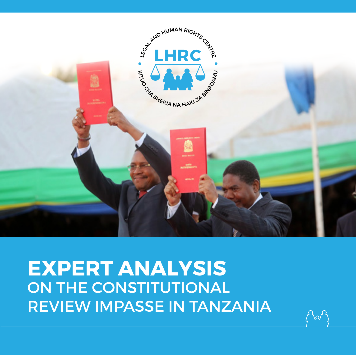

**EXPERT ANALYSIS** ON THE CONSTITUTIONAL REVIEW IMPASSE IN TANZANIA

W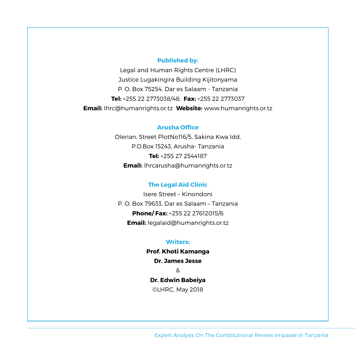#### **Published by:**

Legal and Human Rights Centre (LHRC) Justice Lugakingira Building Kijitonyama P. O. Box 75254, Dar es Salaam - Tanzania **Tel:** +255 22 2773038/48; **Fax:** +255 22 2773037 **Email:** lhrc@humanrights.or.tz **Website:** www.humanrights.or.tz

#### **Arusha Office**

Olerian, Street PlotNo116/5, Sakina Kwa Idd, P.O.Box 15243, Arusha- Tanzania **Tel:** +255 27 2544187 **Email:** lhrcarusha@humanrights.or.tz

#### **The Legal Aid Clinic**

Isere Street – Kinondoni P. O. Box 79633, Dar es Salaam – Tanzania **Phone/ Fax:** +255 22 27612015/6 **Email:** legalaid@humanrights.or.tz

#### **Writers;**

**Prof. Khoti Kamanga Dr. James Jesse**  & **Dr. Edwin Babeiya** ©LHRC, May 2018

Expert Analysis On The Constitutional Review Impasse In Tanzania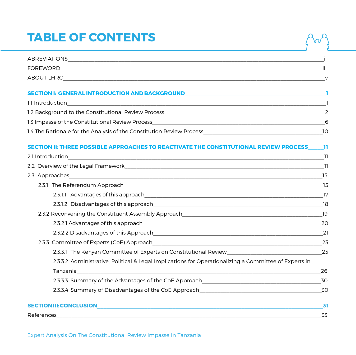# **TABLE OF CONTENTS**

| <b>ABREVIATIONS</b> | $\cdot\cdot$ |
|---------------------|--------------|
| <b>FOREWORD</b>     | iii          |
| ABOUT LHRC          | v            |

#### **Section I: GENERAL INTRODUCTION AND BACKGROUND\_\_\_\_\_\_\_\_\_\_\_\_\_\_\_\_\_\_\_\_\_\_\_\_\_\_\_\_\_\_\_\_\_\_\_\_\_\_\_\_\_\_\_\_\_1**

| 1.1 Introduction                                                      |     |
|-----------------------------------------------------------------------|-----|
| 1.2 Background to the Constitutional Review Process                   |     |
| 1.3 Impasse of the Constitutional Review Process                      | 6   |
| 1.4 The Rationale for the Analysis of the Constitution Review Process | າດ: |

#### **Section II: THREE POSSIBLE APPROACHES TO REACTIVATE THE CONSTITUTIONAL REVIEW PROCESS\_\_\_\_\_11**

|            |                                                                                                                                    | -11 |
|------------|------------------------------------------------------------------------------------------------------------------------------------|-----|
|            |                                                                                                                                    | 15  |
|            |                                                                                                                                    | 15  |
|            |                                                                                                                                    | 17  |
|            |                                                                                                                                    | 18  |
|            |                                                                                                                                    | 19  |
|            |                                                                                                                                    | 20  |
|            |                                                                                                                                    | 21  |
|            |                                                                                                                                    | 23  |
|            |                                                                                                                                    |     |
|            | 2.3.3.2 Administrative, Political & Legal Implications for Operationalizing a Committee of Experts in                              |     |
|            | Tanzania<br><u> 1989 - Johann Stoff, deutscher Stoffen und der Stoffen und der Stoffen und der Stoffen und der Stoffen und der</u> | 26  |
|            |                                                                                                                                    | 30  |
|            | 2.3.3.4 Summary of Disadvantages of the CoE Approach <b>Communicate Contract Control of Contract Control Control</b>               | 30  |
|            |                                                                                                                                    | 31  |
| References |                                                                                                                                    | 33  |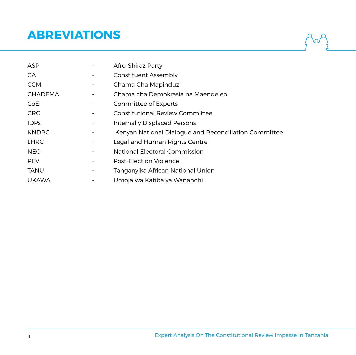## **ABREVIATIONS**

| ASP            |   | Afro-Shiraz Party                                     |
|----------------|---|-------------------------------------------------------|
| CA             |   | Constituent Assembly                                  |
| <b>CCM</b>     |   | Chama Cha Mapinduzi                                   |
| <b>CHADEMA</b> |   | Chama cha Demokrasia na Maendeleo                     |
| CoE            |   | Committee of Experts                                  |
| <b>CRC</b>     |   | Constitutional Review Committee                       |
| <b>IDPs</b>    | ۰ | Internally Displaced Persons                          |
| <b>KNDRC</b>   |   | Kenyan National Dialogue and Reconciliation Committee |
| <b>LHRC</b>    |   | Legal and Human Rights Centre                         |
| <b>NEC</b>     |   | National Electoral Commission                         |
| <b>PEV</b>     |   | Post-Election Violence                                |
| <b>TANU</b>    |   | Tanganyika African National Union                     |
| <b>UKAWA</b>   |   | Umoja wa Katiba ya Wananchi                           |

Agr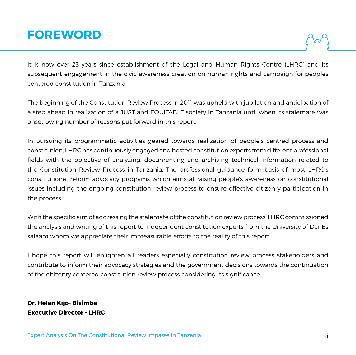## **FOREWORD**

It is now over 23 years since establishment of the Legal and Human Rights Centre (LHRC) and its subsequent engagement in the civic awareness creation on human rights and campaign for peoples centered constitution in Tanzania.

The beginning of the Constitution Review Process in 2011 was upheld with jubilation and anticipation of a step ahead in realization of a JUST and EQUITABLE society in Tanzania until when its stalemate was onset owing number of reasons put forward in this report.

In pursuing its programmatic activities geared towards realization of people's centred process and constitution, LHRC has continuously engaged and hosted constitution experts from different professional fields with the objective of analyzing, documenting and archiving technical information related to the Constitution Review Process in Tanzania. The professional guidance form basis of most LHRC's constitutional reform advocacy programs which aims at raising people's awareness on constitutional issues including the ongoing constitution review process to ensure effective citizenry participation in the process.

With the specific aim of addressing the stalemate of the constitution review process, LHRC commissioned the analysis and writing of this report to independent constitution experts from the University of Dar Es salaam whom we appreciate their immeasurable efforts to the reality of this report.

I hope this report will enlighten all readers especially constitution review process stakeholders and contribute to inform their advocacy strategies and the government decisions towards the continuation of the citizenry centered constitution review process considering its significance.

**Dr. Helen Kijo- Bisimba Executive Director - LHRC**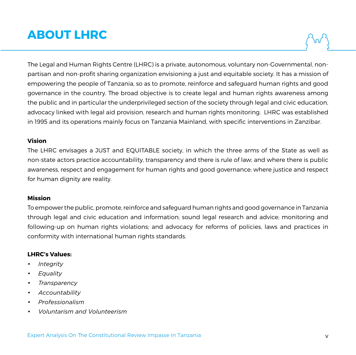# **ABOUT LHRC**

The Legal and Human Rights Centre (LHRC) is a private, autonomous, voluntary non-Governmental, nonpartisan and non-profit sharing organization envisioning a just and equitable society. It has a mission of empowering the people of Tanzania, so as to promote, reinforce and safeguard human rights and good governance in the country. The broad objective is to create legal and human rights awareness among the public and in particular the underprivileged section of the society through legal and civic education, advocacy linked with legal aid provision, research and human rights monitoring. LHRC was established in 1995 and its operations mainly focus on Tanzania Mainland, with specific interventions in Zanzibar.

#### **Vision**

The LHRC envisages a JUST and EQUITABLE society, in which the three arms of the State as well as non-state actors practice accountability, transparency and there is rule of law; and where there is public awareness, respect and engagement for human rights and good governance; where justice and respect for human dignity are reality.

#### **Mission**

To empower the public, promote, reinforce and safeguard human rights and good governance in Tanzania through legal and civic education and information; sound legal research and advice; monitoring and following-up on human rights violations; and advocacy for reforms of policies, laws and practices in conformity with international human rights standards.

#### **LHRC's Values:**

- *• Integrity*
- *• Equality*
- *• Transparency*
- *• Accountability*
- *• Professionalism*
- *• Voluntarism and Volunteerism*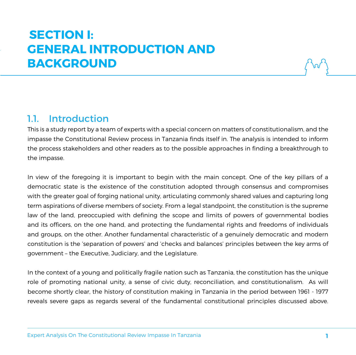# **Section I: GENERAL INTRODUCTION AND BACKGROUND**

### 11 Introduction

This is a study report by a team of experts with a special concern on matters of constitutionalism, and the impasse the Constitutional Review process in Tanzania finds itself in. The analysis is intended to inform the process stakeholders and other readers as to the possible approaches in finding a breakthrough to the impasse.

In view of the foregoing it is important to begin with the main concept. One of the key pillars of a democratic state is the existence of the constitution adopted through consensus and compromises with the greater goal of forging national unity, articulating commonly shared values and capturing long term aspirations of diverse members of society. From a legal standpoint, the constitution is the supreme law of the land, preoccupied with defining the scope and limits of powers of governmental bodies and its officers, on the one hand, and protecting the fundamental rights and freedoms of individuals and groups, on the other. Another fundamental characteristic of a genuinely democratic and modern constitution is the 'separation of powers' and 'checks and balances' principles between the key arms of government – the Executive, Judiciary, and the Legislature.

In the context of a young and politically fragile nation such as Tanzania, the constitution has the unique role of promoting national unity, a sense of civic duty, reconciliation, and constitutionalism. As will become shortly clear, the history of constitution making in Tanzania in the period between 1961 - 1977 reveals severe gaps as regards several of the fundamental constitutional principles discussed above.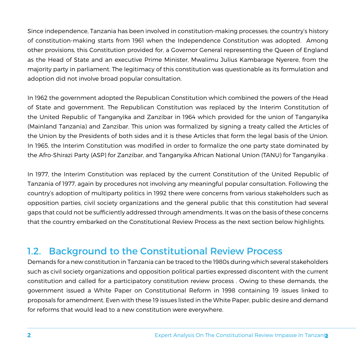Since independence, Tanzania has been involved in constitution-making processes; the country's history of constitution-making starts from 1961 when the Independence Constitution was adopted. Among other provisions, this Constitution provided for, a Governor General representing the Queen of England as the Head of State and an executive Prime Minister, Mwalimu Julius Kambarage Nyerere, from the majority party in parliament. The legitimacy of this constitution was questionable as its formulation and adoption did not involve broad popular consultation.

In 1962 the government adopted the Republican Constitution which combined the powers of the Head of State and government. The Republican Constitution was replaced by the Interim Constitution of the United Republic of Tanganyika and Zanzibar in 1964 which provided for the union of Tanganyika (Mainland Tanzania) and Zanzibar. This union was formalized by signing a treaty called the Articles of the Union by the Presidents of both sides and it is these Articles that form the legal basis of the Union. In 1965, the Interim Constitution was modified in order to formalize the one party state dominated by the Afro-Shirazi Party (ASP) for Zanzibar, and Tanganyika African National Union (TANU) for Tanganyika .

In 1977, the Interim Constitution was replaced by the current Constitution of the United Republic of Tanzania of 1977, again by procedures not involving any meaningful popular consultation. Following the country's adoption of multiparty politics in 1992 there were concerns from various stakeholders such as opposition parties, civil society organizations and the general public that this constitution had several gaps that could not be sufficiently addressed through amendments. It was on the basis of these concerns that the country embarked on the Constitutional Review Process as the next section below highlights.

### 1.2. Background to the Constitutional Review Process

Demands for a new constitution in Tanzania can be traced to the 1980s during which several stakeholders such as civil society organizations and opposition political parties expressed discontent with the current constitution and called for a participatory constitution review process . Owing to these demands, the government issued a White Paper on Constitutional Reform in 1998 containing 19 issues linked to proposals for amendment. Even with these 19 issues listed in the White Paper, public desire and demand for reforms that would lead to a new constitution were everywhere.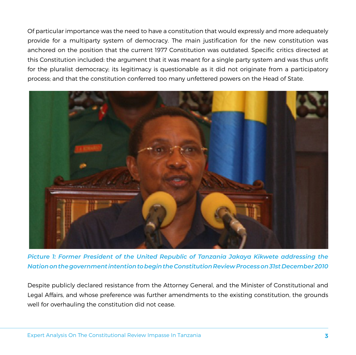Of particular importance was the need to have a constitution that would expressly and more adequately provide for a multiparty system of democracy. The main justification for the new constitution was anchored on the position that the current 1977 Constitution was outdated. Specific critics directed at this Constitution included: the argument that it was meant for a single party system and was thus unfit for the pluralist democracy; its legitimacy is questionable as it did not originate from a participatory process; and that the constitution conferred too many unfettered powers on the Head of State.



*Picture 1: Former President of the United Republic of Tanzania Jakaya Kikwete addressing the Nation on the government intention to begin the Constitution Review Process on 31st December 2010*

Despite publicly declared resistance from the Attorney General, and the Minister of Constitutional and Legal Affairs, and whose preference was further amendments to the existing constitution, the grounds well for overhauling the constitution did not cease.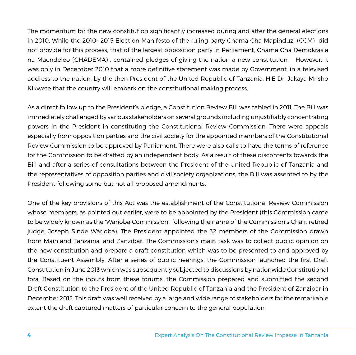The momentum for the new constitution significantly increased during and after the general elections in 2010. While the 2010- 2015 Election Manifesto of the ruling party Chama Cha Mapinduzi (CCM) did not provide for this process, that of the largest opposition party in Parliament, Chama Cha Demokrasia na Maendeleo (CHADEMA) , contained pledges of giving the nation a new constitution. However, it was only in December 2010 that a more definitive statement was made by Government, in a televised address to the nation, by the then President of the United Republic of Tanzania, H.E Dr. Jakaya Mrisho Kikwete that the country will embark on the constitutional making process.

As a direct follow up to the President's pledge, a Constitution Review Bill was tabled in 2011. The Bill was immediately challenged by various stakeholders on several grounds including unjustifiably concentrating powers in the President in constituting the Constitutional Review Commission. There were appeals especially from opposition parties and the civil society for the appointed members of the Constitutional Review Commission to be approved by Parliament. There were also calls to have the terms of reference for the Commission to be drafted by an independent body. As a result of these discontents towards the Bill and after a series of consultations between the President of the United Republic of Tanzania and the representatives of opposition parties and civil society organizations, the Bill was assented to by the President following some but not all proposed amendments.

One of the key provisions of this Act was the establishment of the Constitutional Review Commission whose members, as pointed out earlier, were to be appointed by the President (this Commission came to be widely known as the 'Warioba Commission', following the name of the Commission's Chair, retired judge, Joseph Sinde Warioba). The President appointed the 32 members of the Commission drawn from Mainland Tanzania, and Zanzibar. The Commission's main task was to collect public opinion on the new constitution and prepare a draft constitution which was to be presented to and approved by the Constituent Assembly. After a series of public hearings, the Commission launched the first Draft Constitution in June 2013 which was subsequently subjected to discussions by nationwide Constitutional fora. Based on the inputs from these forums, the Commission prepared and submitted the second Draft Constitution to the President of the United Republic of Tanzania and the President of Zanzibar in December 2013. This draft was well received by a large and wide range of stakeholders for the remarkable extent the draft captured matters of particular concern to the general population.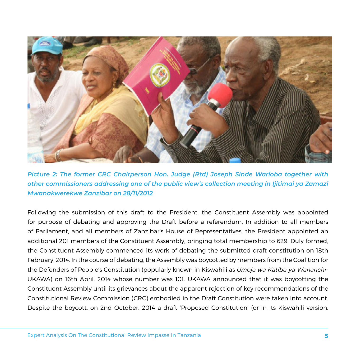

*Picture 2: The former CRC Chairperson Hon. Judge (Rtd) Joseph Sinde Warioba together with other commissioners addressing one of the public view's collection meeting in Ijitimai ya Zamazi Mwanakwerekwe Zanzibar on 28/11/2012*

Following the submission of this draft to the President, the Constituent Assembly was appointed for purpose of debating and approving the Draft before a referendum. In addition to all members of Parliament, and all members of Zanzibar's House of Representatives, the President appointed an additional 201 members of the Constituent Assembly, bringing total membership to 629. Duly formed, the Constituent Assembly commenced its work of debating the submitted draft constitution on 18th February, 2014. In the course of debating, the Assembly was boycotted by members from the Coalition for the Defenders of People's Constitution (popularly known in Kiswahili as *Umoja wa Katiba ya Wananchi*-UKAWA) on 16th April, 2014 whose number was 101. UKAWA announced that it was boycotting the Constituent Assembly until its grievances about the apparent rejection of key recommendations of the Constitutional Review Commission (CRC) embodied in the Draft Constitution were taken into account. Despite the boycott, on 2nd October, 2014 a draft 'Proposed Constitution' (or in its Kiswahili version,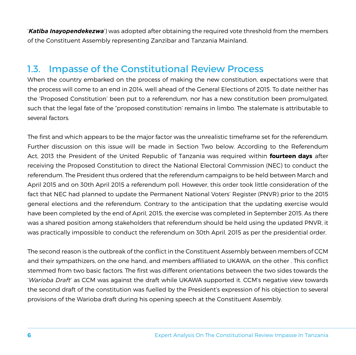'*Katiba Inayopendekezwa*') was adopted after obtaining the required vote threshold from the members of the Constituent Assembly representing Zanzibar and Tanzania Mainland.

### 1.3. Impasse of the Constitutional Review Process

When the country embarked on the process of making the new constitution, expectations were that the process will come to an end in 2014, well ahead of the General Elections of 2015. To date neither has the 'Proposed Constitution' been put to a referendum, nor has a new constitution been promulgated, such that the legal fate of the "proposed constitution' remains in limbo. The stalemate is attributable to several factors.

The first and which appears to be the major factor was the unrealistic timeframe set for the referendum. Further discussion on this issue will be made in Section Two below. According to the Referendum Act, 2013 the President of the United Republic of Tanzania was required within **fourteen days** after receiving the Proposed Constitution to direct the National Electoral Commission (NEC) to conduct the referendum. The President thus ordered that the referendum campaigns to be held between March and April 2015 and on 30th April 2015 a referendum poll. However, this order took little consideration of the fact that NEC had planned to update the Permanent National Voters' Register (PNVR) prior to the 2015 general elections and the referendum. Contrary to the anticipation that the updating exercise would have been completed by the end of April, 2015, the exercise was completed in September 2015. As there was a shared position among stakeholders that referendum should be held using the updated PNVR, it was practically impossible to conduct the referendum on 30th April, 2015 as per the presidential order.

The second reason is the outbreak of the conflict in the Constituent Assembly between members of CCM and their sympathizers, on the one hand, and members affiliated to UKAWA, on the other . This conflict stemmed from two basic factors. The first was different orientations between the two sides towards the '*Warioba Draft*' as CCM was against the draft while UKAWA supported it. CCM's negative view towards the second draft of the constitution was fuelled by the President's expression of his objection to several provisions of the Warioba draft during his opening speech at the Constituent Assembly.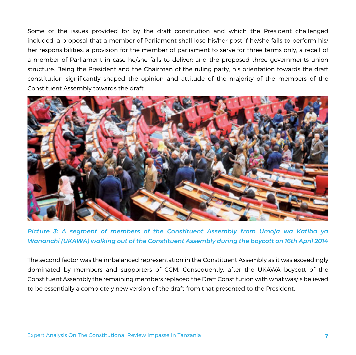Some of the issues provided for by the draft constitution and which the President challenged included: a proposal that a member of Parliament shall lose his/her post if he/she fails to perform his/ her responsibilities; a provision for the member of parliament to serve for three terms only; a recall of a member of Parliament in case he/she fails to deliver; and the proposed three governments union structure. Being the President and the Chairman of the ruling party, his orientation towards the draft constitution significantly shaped the opinion and attitude of the majority of the members of the Constituent Assembly towards the draft.



*Picture 3: A segment of members of the Constituent Assembly from Umoja wa Katiba ya Wananchi (UKAWA) walking out of the Constituent Assembly during the boycott on 16th April 2014*

The second factor was the imbalanced representation in the Constituent Assembly as it was exceedingly dominated by members and supporters of CCM. Consequently, after the UKAWA boycott of the Constituent Assembly the remaining members replaced the Draft Constitution with what was/is believed to be essentially a completely new version of the draft from that presented to the President.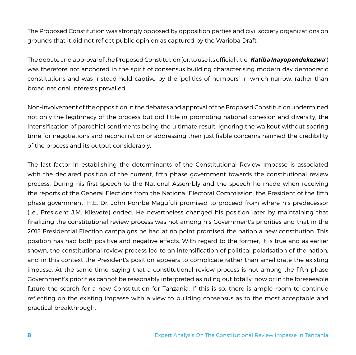The Proposed Constitution was strongly opposed by opposition parties and civil society organizations on grounds that it did not reflect public opinion as captured by the Warioba Draft.

The debate and approval of the Proposed Constitution (or, to use its official title, '*Katiba Inayopendekezwa*') was therefore not anchored in the spirit of consensus building characterising modern day democratic constitutions and was instead held captive by the 'politics of numbers' in which narrow, rather than broad national interests prevailed.

Non-involvement of the opposition in the debates and approval of the Proposed Constitution undermined not only the legitimacy of the process but did little in promoting national cohesion and diversity, the intensification of parochial sentiments being the ultimate result. Ignoring the walkout without sparing time for negotiations and reconciliation or addressing their justifiable concerns harmed the credibility of the process and its output considerably.

The last factor in establishing the determinants of the Constitutional Review Impasse is associated with the declared position of the current, fifth phase government towards the constitutional review process. During his first speech to the National Assembly and the speech he made when receiving the reports of the General Elections from the National Electoral Commission, the President of the fifth phase government, H.E. Dr. John Pombe Magufuli promised to proceed from where his predecessor (i.e., President J.M. Kikwete) ended. He nevertheless changed his position later by maintaining that finalizing the constitutional review process was not among his Government's priorities and that in the 2015 Presidential Election campaigns he had at no point promised the nation a new constitution. This position has had both positive and negative effects. With regard to the former, it is true and as earlier shown, the constitutional review process led to an intensification of political polarisation of the nation, and in this context the President's position appears to complicate rather than ameliorate the existing impasse. At the same time, saying that a constitutional review process is not among the fifth phase Government's priorities cannot be reasonably interpreted as ruling out totally, now or in the foreseeable future the search for a new Constitution for Tanzania. If this is so, there is ample room to continue reflecting on the existing impasse with a view to building consensus as to the most acceptable and practical breakthrough.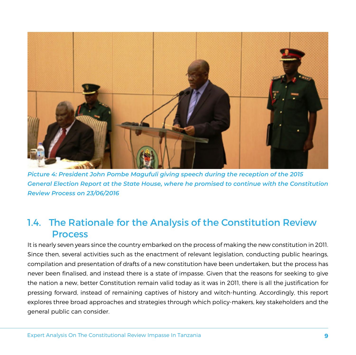

*Picture 4: President John Pombe Magufuli giving speech during the reception of the 2015 General Election Report at the State House, where he promised to continue with the Constitution Review Process on 23/06/2016*

## 1.4. The Rationale for the Analysis of the Constitution Review Process

It is nearly seven years since the country embarked on the process of making the new constitution in 2011. Since then, several activities such as the enactment of relevant legislation, conducting public hearings, compilation and presentation of drafts of a new constitution have been undertaken, but the process has never been finalised, and instead there is a state of impasse. Given that the reasons for seeking to give the nation a new, better Constitution remain valid today as it was in 2011, there is all the justification for pressing forward, instead of remaining captives of history and witch-hunting. Accordingly, this report explores three broad approaches and strategies through which policy-makers, key stakeholders and the general public can consider.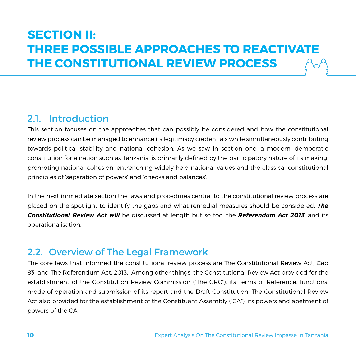# **Section II: THREE POSSIBLE APPROACHES TO REACTIVATE THE CONSTITUTIONAL REVIEW PROCESS**

## 2.1. Introduction

This section focuses on the approaches that can possibly be considered and how the constitutional review process can be managed to enhance its legitimacy credentials while simultaneously contributing towards political stability and national cohesion. As we saw in section one, a modern, democratic constitution for a nation such as Tanzania, is primarily defined by the participatory nature of its making, promoting national cohesion, entrenching widely held national values and the classical constitutional principles of 'separation of powers' and 'checks and balances'.

In the next immediate section the laws and procedures central to the constitutional review process are placed on the spotlight to identify the gaps and what remedial measures should be considered. *The Constitutional Review Act will* be discussed at length but so too, the *Referendum Act 2013*, and its operationalisation.

### 2.2. Overview of The Legal Framework

The core laws that informed the constitutional review process are The Constitutional Review Act, Cap 83 and The Referendum Act, 2013. Among other things, the Constitutional Review Act provided for the establishment of the Constitution Review Commission ("The CRC"), its Terms of Reference, functions, mode of operation and submission of its report and the Draft Constitution. The Constitutional Review Act also provided for the establishment of the Constituent Assembly ("CA"), its powers and abetment of powers of the CA.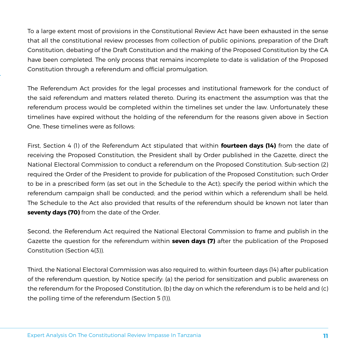To a large extent most of provisions in the Constitutional Review Act have been exhausted in the sense that all the constitutional review processes from collection of public opinions, preparation of the Draft Constitution, debating of the Draft Constitution and the making of the Proposed Constitution by the CA have been completed. The only process that remains incomplete to-date is validation of the Proposed Constitution through a referendum and official promulgation.

The Referendum Act provides for the legal processes and institutional framework for the conduct of the said referendum and matters related thereto. During its enactment the assumption was that the referendum process would be completed within the timelines set under the law. Unfortunately these timelines have expired without the holding of the referendum for the reasons given above in Section One. These timelines were as follows:

First, Section 4 (1) of the Referendum Act stipulated that within **fourteen days (14)** from the date of receiving the Proposed Constitution, the President shall by Order published in the Gazette, direct the National Electoral Commission to conduct a referendum on the Proposed Constitution. Sub-section (2) required the Order of the President to provide for publication of the Proposed Constitution; such Order to be in a prescribed form (as set out in the Schedule to the Act); specify the period within which the referendum campaign shall be conducted; and the period within which a referendum shall be held. The Schedule to the Act also provided that results of the referendum should be known not later than **seventy days (70)** from the date of the Order.

Second, the Referendum Act required the National Electoral Commission to frame and publish in the Gazette the question for the referendum within **seven days (7)** after the publication of the Proposed Constitution (Section 4(3)).

Third, the National Electoral Commission was also required to, within fourteen days (14) after publication of the referendum question, by Notice specify: (a) the period for sensitization and public awareness on the referendum for the Proposed Constitution, (b) the day on which the referendum is to be held and (c) the polling time of the referendum (Section 5 (1)).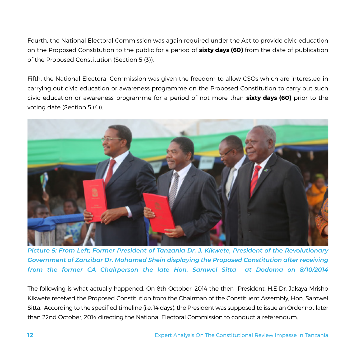Fourth, the National Electoral Commission was again required under the Act to provide civic education on the Proposed Constitution to the public for a period of **sixty days (60)** from the date of publication of the Proposed Constitution (Section 5 (3)).

Fifth, the National Electoral Commission was given the freedom to allow CSOs which are interested in carrying out civic education or awareness programme on the Proposed Constitution to carry out such civic education or awareness programme for a period of not more than **sixty days (60)** prior to the voting date (Section 5 (4)).



*Picture 5: From Left; Former President of Tanzania Dr. J. Kikwete, President of the Revolutionary Government of Zanzibar Dr. Mohamed Shein displaying the Proposed Constitution after receiving from the former CA Chairperson the late Hon. Samwel Sitta at Dodoma on 8/10/2014*

The following is what actually happened. On 8th October, 2014 the then President, H.E Dr. Jakaya Mrisho Kikwete received the Proposed Constitution from the Chairman of the Constituent Assembly, Hon. Samwel Sitta. According to the specified timeline (i.e. 14 days), the President was supposed to issue an Order not later than 22nd October, 2014 directing the National Electoral Commission to conduct a referendum.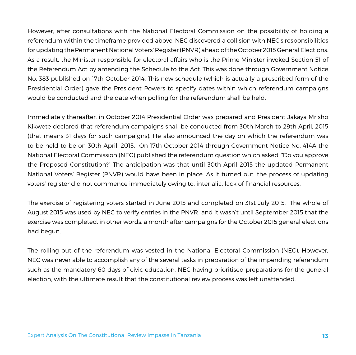However, after consultations with the National Electoral Commission on the possibility of holding a referendum within the timeframe provided above, NEC discovered a collision with NEC's responsibilities for updating the Permanent National Voters' Register (PNVR) ahead of the October 2015 General Elections. As a result, the Minister responsible for electoral affairs who is the Prime Minister invoked Section 51 of the Referendum Act by amending the Schedule to the Act. This was done through Government Notice No. 383 published on 17th October 2014. This new schedule (which is actually a prescribed form of the Presidential Order) gave the President Powers to specify dates within which referendum campaigns would be conducted and the date when polling for the referendum shall be held.

Immediately thereafter, in October 2014 Presidential Order was prepared and President Jakaya Mrisho Kikwete declared that referendum campaigns shall be conducted from 30th March to 29th April, 2015 (that means 31 days for such campaigns). He also announced the day on which the referendum was to be held to be on 30th April, 2015. On 17th October 2014 through Government Notice No. 414A the National Electoral Commission (NEC) published the referendum question which asked, "Do you approve the Proposed Constitution?" The anticipation was that until 30th April 2015 the updated Permanent National Voters' Register (PNVR) would have been in place. As it turned out, the process of updating voters' register did not commence immediately owing to, inter alia, lack of financial resources.

The exercise of registering voters started in June 2015 and completed on 31st July 2015. The whole of August 2015 was used by NEC to verify entries in the PNVR and it wasn't until September 2015 that the exercise was completed, in other words, a month after campaigns for the October 2015 general elections had begun.

The rolling out of the referendum was vested in the National Electoral Commission (NEC). However, NEC was never able to accomplish any of the several tasks in preparation of the impending referendum such as the mandatory 60 days of civic education, NEC having prioritised preparations for the general election, with the ultimate result that the constitutional review process was left unattended.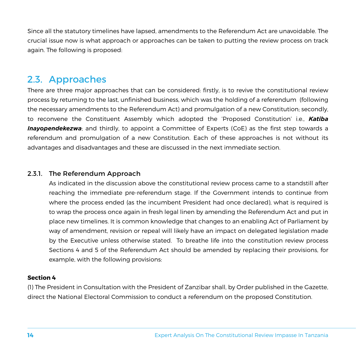Since all the statutory timelines have lapsed, amendments to the Referendum Act are unavoidable. The crucial issue now is what approach or approaches can be taken to putting the review process on track again. The following is proposed:

### 2.3. Approaches

There are three major approaches that can be considered: firstly, is to revive the constitutional review process by returning to the last, unfinished business, which was the holding of a referendum (following the necessary amendments to the Referendum Act) and promulgation of a new Constitution; secondly, to reconvene the Constituent Assembly which adopted the 'Proposed Constitution' i.e., *Katiba*  **Inayopendekezwa**; and thirdly, to appoint a Committee of Experts (CoE) as the first step towards a referendum and promulgation of a new Constitution. Each of these approaches is not without its advantages and disadvantages and these are discussed in the next immediate section.

#### 2.3.1. The Referendum Approach

As indicated in the discussion above the constitutional review process came to a standstill after reaching the immediate pre-referendum stage. If the Government intends to continue from where the process ended (as the incumbent President had once declared), what is required is to wrap the process once again in fresh legal linen by amending the Referendum Act and put in place new timelines. It is common knowledge that changes to an enabling Act of Parliament by way of amendment, revision or repeal will likely have an impact on delegated legislation made by the Executive unless otherwise stated. To breathe life into the constitution review process Sections 4 and 5 of the Referendum Act should be amended by replacing their provisions, for example, with the following provisions:

#### **Section 4**

(1) The President in Consultation with the President of Zanzibar shall, by Order published in the Gazette, direct the National Electoral Commission to conduct a referendum on the proposed Constitution.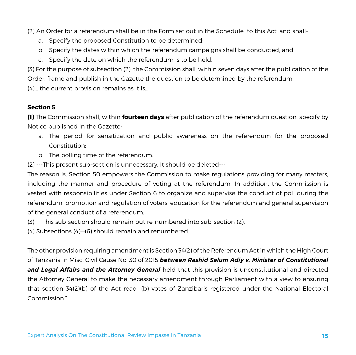(2) An Order for a referendum shall be in the Form set out in the Schedule to this Act, and shall-

- a. Specify the proposed Constitution to be determined;
- b. Specify the dates within which the referendum campaigns shall be conducted; and
- c. Specify the date on which the referendum is to be held.

(3) For the purpose of subsection (2), the Commission shall, within seven days after the publication of the Order, frame and publish in the Gazette the question to be determined by the referendum. (4)… the current provision remains as it is….

#### **Section 5**

**(1)** The Commission shall, within **fourteen days** after publication of the referendum question, specify by Notice published in the Gazette-

- a. The period for sensitization and public awareness on the referendum for the proposed Constitution;
- b. The polling time of the referendum.
- (2) ---This present sub-section is unnecessary. It should be deleted---

The reason is, Section 50 empowers the Commission to make regulations providing for many matters, including the manner and procedure of voting at the referendum. In addition, the Commission is vested with responsibilities under Section 6 to organize and supervise the conduct of poll during the referendum, promotion and regulation of voters' education for the referendum and general supervision of the general conduct of a referendum.

- (3) ---This sub-section should remain but re-numbered into sub-section (2).
- (4) Subsections (4)—(6) should remain and renumbered.

The other provision requiring amendment is Section 34(2) of the Referendum Act in which the High Court of Tanzania in Misc. Civil Cause No. 30 of 2015 *between Rashid Salum Adiy v. Minister of Constitutional and Legal Affairs and the Attorney General* held that this provision is unconstitutional and directed the Attorney General to make the necessary amendment through Parliament with a view to ensuring that section 34(2)(b) of the Act read "(b) votes of Zanzibaris registered under the National Electoral Commission."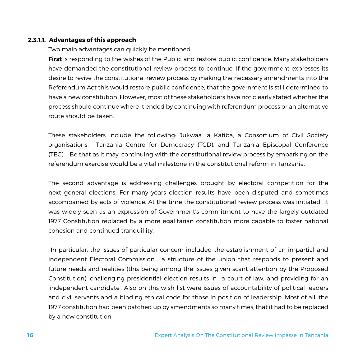#### **2.3.1.1. Advantages of this approach**

Two main advantages can quickly be mentioned.

**First** is responding to the wishes of the Public and restore public confidence. Many stakeholders have demanded the constitutional review process to continue. If the government expresses its desire to revive the constitutional review process by making the necessary amendments into the Referendum Act this would restore public confidence, that the government is still determined to have a new constitution. However, most of these stakeholders have not clearly stated whether the process should continue where it ended by continuing with referendum process or an alternative route should be taken.

These stakeholders include the following: Jukwaa la Katiba, a Consortium of Civil Society organisations, Tanzania Centre for Democracy (TCD), and Tanzania Episcopal Conference (TEC). Be that as it may, continuing with the constitutional review process by embarking on the referendum exercise would be a vital milestone in the constitutional reform in Tanzania.

The second advantage is addressing challenges brought by electoral competition for the next general elections. For many years election results have been disputed and sometimes accompanied by acts of violence. At the time the constitutional review process was initiated it was widely seen as an expression of Government's commitment to have the largely outdated 1977 Constitution replaced by a more egalitarian constitution more capable to foster national cohesion and continued tranquillity.

 In particular, the issues of particular concern included the establishment of an impartial and independent Electoral Commission, a structure of the union that responds to present and future needs and realities (this being among the issues given scant attention by the Proposed Constitution), challenging presidential election results in a court of law, and providing for an 'independent candidate'. Also on this wish list were issues of accountability of political leaders and civil servants and a binding ethical code for those in position of leadership. Most of all, the 1977 constitution had been patched up by amendments so many times, that it had to be replaced by a new constitution.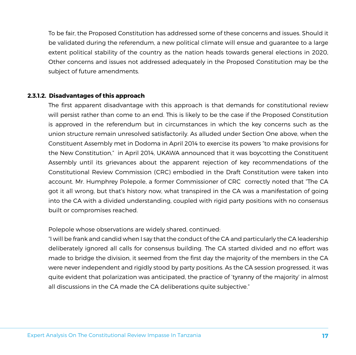To be fair, the Proposed Constitution has addressed some of these concerns and issues. Should it be validated during the referendum, a new political climate will ensue and guarantee to a large extent political stability of the country as the nation heads towards general elections in 2020, Other concerns and issues not addressed adequately in the Proposed Constitution may be the subject of future amendments.

#### **2.3.1.2. Disadvantages of this approach**

The first apparent disadvantage with this approach is that demands for constitutional review will persist rather than come to an end. This is likely to be the case if the Proposed Constitution is approved in the referendum but in circumstances in which the key concerns such as the union structure remain unresolved satisfactorily. As alluded under Section One above, when the Constituent Assembly met in Dodoma in April 2014 to exercise its powers "to make provisions for the New Constitution," in April 2014, UKAWA announced that it was boycotting the Constituent Assembly until its grievances about the apparent rejection of key recommendations of the Constitutional Review Commission (CRC) embodied in the Draft Constitution were taken into account. Mr. Humphrey Polepole, a former Commissioner of CRC correctly noted that "The CA got it all wrong, but that's history now, what transpired in the CA was a manifestation of going into the CA with a divided understanding, coupled with rigid party positions with no consensus built or compromises reached.

Polepole whose observations are widely shared, continued:

"I will be frank and candid when I say that the conduct of the CA and particularly the CA leadership deliberately ignored all calls for consensus building. The CA started divided and no effort was made to bridge the division, it seemed from the first day the majority of the members in the CA were never independent and rigidly stood by party positions. As the CA session progressed, it was quite evident that polarization was anticipated, the practice of 'tyranny of the majority' in almost all discussions in the CA made the CA deliberations quite subjective."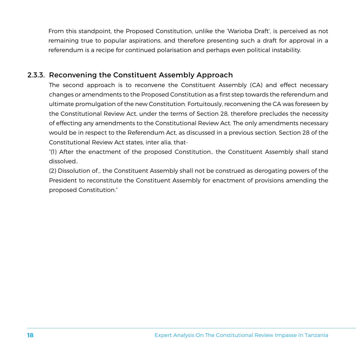From this standpoint, the Proposed Constitution, unlike the 'Warioba Draft', is perceived as not remaining true to popular aspirations, and therefore presenting such a draft for approval in a referendum is a recipe for continued polarisation and perhaps even political instability.

#### 2.3.3. Reconvening the Constituent Assembly Approach

The second approach is to reconvene the Constituent Assembly (CA) and effect necessary changes or amendments to the Proposed Constitution as a first step towards the referendum and ultimate promulgation of the new Constitution. Fortuitously, reconvening the CA was foreseen by the Constitutional Review Act, under the terms of Section 28, therefore precludes the necessity of effecting any amendments to the Constitutional Review Act. The only amendments necessary would be in respect to the Referendum Act, as discussed in a previous section. Section 28 of the Constitutional Review Act states, inter alia, that-

"(1) After the enactment of the proposed Constitution.. the Constituent Assembly shall stand dissolved..

(2) Dissolution of… the Constituent Assembly shall not be construed as derogating powers of the President to reconstitute the Constituent Assembly for enactment of provisions amending the proposed Constitution."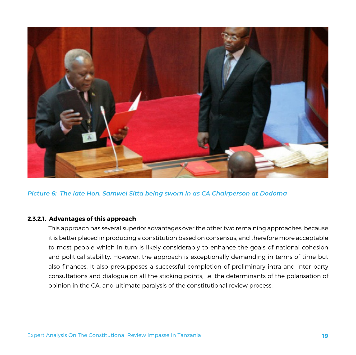

*Picture 6: The late Hon. Samwel Sitta being sworn in as CA Chairperson at Dodoma*

#### **2.3.2.1. Advantages of this approach**

This approach has several superior advantages over the other two remaining approaches, because it is better placed in producing a constitution based on consensus, and therefore more acceptable to most people which in turn is likely considerably to enhance the goals of national cohesion and political stability. However, the approach is exceptionally demanding in terms of time but also finances. It also presupposes a successful completion of preliminary intra and inter party consultations and dialogue on all the sticking points, i.e. the determinants of the polarisation of opinion in the CA, and ultimate paralysis of the constitutional review process.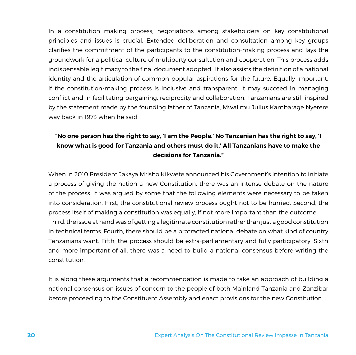In a constitution making process, negotiations among stakeholders on key constitutional principles and issues is crucial. Extended deliberation and consultation among key groups clarifies the commitment of the participants to the constitution-making process and lays the groundwork for a political culture of multiparty consultation and cooperation. This process adds indispensable legitimacy to the final document adopted. It also assists the definition of a national identity and the articulation of common popular aspirations for the future. Equally important, if the constitution-making process is inclusive and transparent, it may succeed in managing conflict and in facilitating bargaining, reciprocity and collaboration. Tanzanians are still inspired by the statement made by the founding father of Tanzania, Mwalimu Julius Kambarage Nyerere way back in 1973 when he said:

#### **"No one person has the right to say, 'I am the People.' No Tanzanian has the right to say, 'I know what is good for Tanzania and others must do it.' All Tanzanians have to make the decisions for Tanzania."**

When in 2010 President Jakaya Mrisho Kikwete announced his Government's intention to initiate a process of giving the nation a new Constitution, there was an intense debate on the nature of the process. It was argued by some that the following elements were necessary to be taken into consideration. First, the constitutional review process ought not to be hurried. Second, the process itself of making a constitution was equally, if not more important than the outcome. Third, the issue at hand was of getting a legitimate constitution rather than just a good constitution in technical terms. Fourth, there should be a protracted national debate on what kind of country Tanzanians want. Fifth, the process should be extra-parliamentary and fully participatory. Sixth and more important of all, there was a need to build a national consensus before writing the constitution.

It is along these arguments that a recommendation is made to take an approach of building a national consensus on issues of concern to the people of both Mainland Tanzania and Zanzibar before proceeding to the Constituent Assembly and enact provisions for the new Constitution.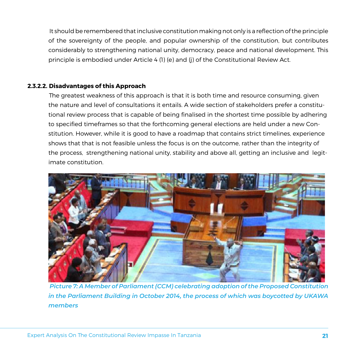It should be remembered that inclusive constitution making not only is a reflection of the principle of the sovereignty of the people, and popular ownership of the constitution, but contributes considerably to strengthening national unity, democracy, peace and national development. This principle is embodied under Article 4 (1) (e) and (j) of the Constitutional Review Act.

#### **2.3.2.2. Disadvantages of this Approach**

The greatest weakness of this approach is that it is both time and resource consuming, given the nature and level of consultations it entails. A wide section of stakeholders prefer a constitutional review process that is capable of being finalised in the shortest time possible by adhering to specified timeframes so that the forthcoming general elections are held under a new Constitution. However, while it is good to have a roadmap that contains strict timelines, experience shows that that is not feasible unless the focus is on the outcome, rather than the integrity of the process, strengthening national unity, stability and above all, getting an inclusive and legitimate constitution.



*Picture 7: A Member of Parliament (CCM) celebrating adoption of the Proposed Constitution in the Parliament Building in October 2014, the process of which was boycotted by UKAWA members*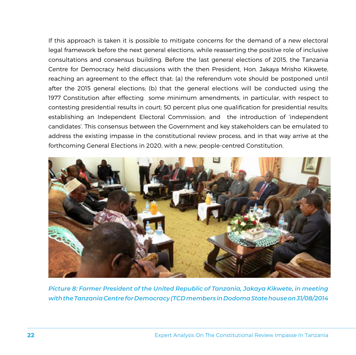If this approach is taken it is possible to mitigate concerns for the demand of a new electoral legal framework before the next general elections, while reasserting the positive role of inclusive consultations and consensus building. Before the last general elections of 2015, the Tanzania Centre for Democracy held discussions with the then President, Hon. Jakaya Mrisho Kikwete, reaching an agreement to the effect that: (a) the referendum vote should be postponed until after the 2015 general elections; (b) that the general elections will be conducted using the 1977 Constitution after effecting some minimum amendments, in particular, with respect to contesting presidential results in court; 50 percent plus one qualification for presidential results; establishing an Independent Electoral Commission; and the introduction of 'independent candidates'. This consensus between the Government and key stakeholders can be emulated to address the existing impasse in the constitutional review process, and in that way arrive at the forthcoming General Elections in 2020, with a new, people-centred Constitution.



*Picture 8: Former President of the United Republic of Tanzania, Jakaya Kikwete, in meeting with the Tanzania Centre for Democracy (TCD members in Dodoma State house on 31/08/2014*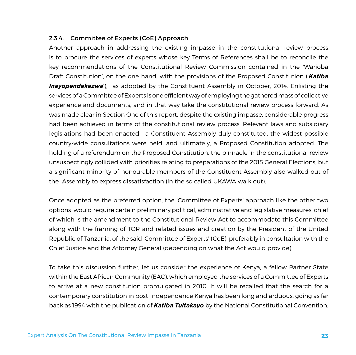#### 2.3.4. Committee of Experts (CoE) Approach

Another approach in addressing the existing impasse in the constitutional review process is to procure the services of experts whose key Terms of References shall be to reconcile the key recommendations of the Constitutional Review Commission contained in the 'Warioba Draft Constitution', on the one hand, with the provisions of the Proposed Constitution ('*Katiba Inayopendekezwa*'), as adopted by the Constituent Assembly in October, 2014. Enlisting the services of a Committee of Experts is one efficient way of employing the gathered mass of collective experience and documents, and in that way take the constitutional review process forward. As was made clear in Section One of this report, despite the existing impasse, considerable progress had been achieved in terms of the constitutional review process. Relevant laws and subsidiary legislations had been enacted, a Constituent Assembly duly constituted, the widest possible country-wide consultations were held, and ultimately, a Proposed Constitution adopted. The holding of a referendum on the Proposed Constitution, the pinnacle in the constitutional review unsuspectingly collided with priorities relating to preparations of the 2015 General Elections, but a significant minority of honourable members of the Constituent Assembly also walked out of the Assembly to express dissatisfaction (in the so called UKAWA walk out).

Once adopted as the preferred option, the 'Committee of Experts' approach like the other two options would require certain preliminary political, administrative and legislative measures, chief of which is the amendment to the Constitutional Review Act to accommodate this Committee along with the framing of TOR and related issues and creation by the President of the United Republic of Tanzania, of the said 'Committee of Experts' (CoE), preferably in consultation with the Chief Justice and the Attorney General (depending on what the Act would provide).

To take this discussion further, let us consider the experience of Kenya, a fellow Partner State within the East African Community (EAC), which employed the services of a Committee of Experts to arrive at a new constitution promulgated in 2010. It will be recalled that the search for a contemporary constitution in post-independence Kenya has been long and arduous, going as far back as 1994 with the publication of *Katiba Tuitakayo* by the National Constitutional Convention.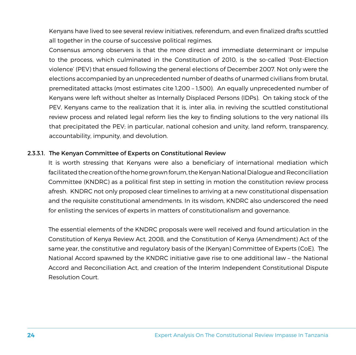Kenyans have lived to see several review initiatives, referendum, and even finalized drafts scuttled all together in the course of successive political regimes.

Consensus among observers is that the more direct and immediate determinant or impulse to the process, which culminated in the Constitution of 2010, is the so-called 'Post-Election violence' (PEV) that ensued following the general elections of December 2007. Not only were the elections accompanied by an unprecedented number of deaths of unarmed civilians from brutal, premeditated attacks (most estimates cite 1,200 – 1,500). An equally unprecedented number of Kenyans were left without shelter as Internally Displaced Persons (IDPs). On taking stock of the PEV, Kenyans came to the realization that it is, inter alia, in reviving the scuttled constitutional review process and related legal reform lies the key to finding solutions to the very national ills that precipitated the PEV; in particular, national cohesion and unity, land reform, transparency, accountability, impunity, and devolution.

#### 2.3.3.1. The Kenyan Committee of Experts on Constitutional Review

It is worth stressing that Kenyans were also a beneficiary of international mediation which facilitated the creation of the home grown forum, the Kenyan National Dialogue and Reconciliation Committee (KNDRC) as a political first step in setting in motion the constitution review process afresh. KNDRC not only proposed clear timelines to arriving at a new constitutional dispensation and the requisite constitutional amendments. In its wisdom, KNDRC also underscored the need for enlisting the services of experts in matters of constitutionalism and governance.

The essential elements of the KNDRC proposals were well received and found articulation in the Constitution of Kenya Review Act, 2008, and the Constitution of Kenya (Amendment) Act of the same year, the constitutive and regulatory basis of the (Kenyan) Committee of Experts (CoE). The National Accord spawned by the KNDRC initiative gave rise to one additional law – the National Accord and Reconciliation Act, and creation of the Interim Independent Constitutional Dispute Resolution Court.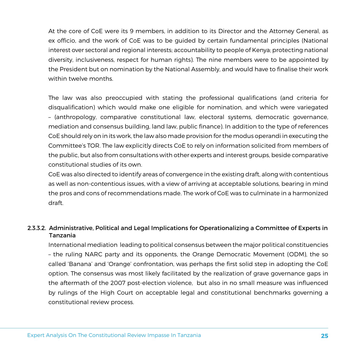At the core of CoE were its 9 members, in addition to its Director and the Attorney General, as ex officio, and the work of CoE was to be guided by certain fundamental principles (National interest over sectoral and regional interests; accountability to people of Kenya; protecting national diversity, inclusiveness, respect for human rights). The nine members were to be appointed by the President but on nomination by the National Assembly, and would have to finalise their work within twelve months.

The law was also preoccupied with stating the professional qualifications (and criteria for disqualification) which would make one eligible for nomination, and which were variegated – (anthropology, comparative constitutional law, electoral systems, democratic governance, mediation and consensus building, land law, public finance). In addition to the type of references CoE should rely on in its work, the law also made provision for the modus operandi in executing the Committee's TOR. The law explicitly directs CoE to rely on information solicited from members of the public, but also from consultations with other experts and interest groups, beside comparative constitutional studies of its own.

CoE was also directed to identify areas of convergence in the existing draft, along with contentious as well as non-contentious issues, with a view of arriving at acceptable solutions, bearing in mind the pros and cons of recommendations made. The work of CoE was to culminate in a harmonized draft.

#### 2.3.3.2. Administrative, Political and Legal Implications for Operationalizing a Committee of Experts in Tanzania

International mediation leading to political consensus between the major political constituencies – the ruling NARC party and its opponents, the Orange Democratic Movement (ODM), the so called 'Banana' and 'Orange' confrontation, was perhaps the first solid step in adopting the CoE option. The consensus was most likely facilitated by the realization of grave governance gaps in the aftermath of the 2007 post-election violence, but also in no small measure was influenced by rulings of the High Court on acceptable legal and constitutional benchmarks governing a constitutional review process.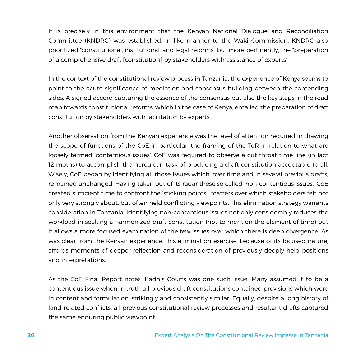It is precisely in this environment that the Kenyan National Dialogue and Reconciliation Committee (KNDRC) was established. In like manner to the Waki Commission, KNDRC also prioritized "constitutional, institutional, and legal reforms" but more pertinently, the "preparation of a comprehensive draft [constitution] by stakeholders with assistance of experts"

In the context of the constitutional review process in Tanzania, the experience of Kenya seems to point to the acute significance of mediation and consensus building between the contending sides. A signed accord capturing the essence of the consensus but also the key steps in the road map towards constitutional reforms, which in the case of Kenya, entailed the preparation of draft constitution by stakeholders with facilitation by experts.

Another observation from the Kenyan experience was the level of attention required in drawing the scope of functions of the CoE in particular, the framing of the ToR in relation to what are loosely termed 'contentious issues'. CoE was required to observe a cut-throat time line (in fact 12 moths) to accomplish the herculean task of producing a draft constitution acceptable to all. Wisely, CoE began by identifying all those issues which, over time and in several previous drafts, remained unchanged. Having taken out of its radar these so called 'non-contentious issues,' CoE created sufficient time to confront the 'sticking points', matters over which stakeholders felt not only very strongly about, but often held conflicting viewpoints. This elimination strategy warrants consideration in Tanzania. Identifying non-contentious issues not only considerably reduces the workload in seeking a harmonized draft constitution (not to mention the element of time) but it allows a more focused examination of the few issues over which there is deep divergence. As was clear from the Kenyan experience, this elimination exercise, because of its focused nature, affords moments of deeper reflection and reconsideration of previously deeply held positions and interpretations.

As the CoE Final Report notes, Kadhis Courts was one such issue. Many assumed it to be a contentious issue when in truth all previous draft constitutions contained provisions which were in content and formulation, strikingly and consistently similar. Equally, despite a long history of land-related conflicts, all previous constitutional review processes and resultant drafts captured the same enduring public viewpoint.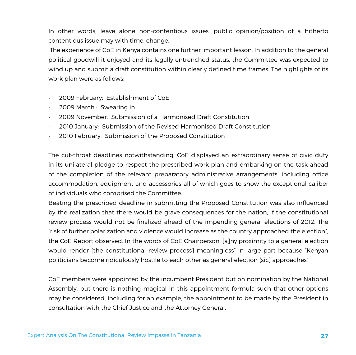In other words, leave alone non-contentious issues, public opinion/position of a hitherto contentious issue may with time, change.

 The experience of CoE in Kenya contains one further important lesson. In addition to the general political goodwill it enjoyed and its legally entrenched status, the Committee was expected to wind up and submit a draft constitution within clearly defined time frames. The highlights of its work plan were as follows:

- • 2009 February: Establishment of CoE
- • 2009 March : Swearing in
- • 2009 November: Submission of a Harmonised Draft Constitution
- • 2010 January: Submission of the Revised Harmonised Draft Constitution
- • 2010 February: Submission of the Proposed Constitution

The cut-throat deadlines notwithstanding, CoE displayed an extraordinary sense of civic duty in its unilateral pledge to respect the prescribed work plan and embarking on the task ahead of the completion of the relevant preparatory administrative arrangements, including office accommodation, equipment and accessories-all of which goes to show the exceptional caliber of individuals who comprised the Committee.

Beating the prescribed deadline in submitting the Proposed Constitution was also influenced by the realization that there would be grave consequences for the nation, if the constitutional review process would not be finalized ahead of the impending general elections of 2012. The "risk of further polarization and violence would increase as the country approached the election", the CoE Report observed. In the words of CoE Chairperson, [a]ny proximity to a general election would render [the constitutional review process] meaningless" in large part because "Kenyan politicians become ridiculously hostile to each other as general election (sic) approaches"

CoE members were appointed by the incumbent President but on nomination by the National Assembly, but there is nothing magical in this appointment formula such that other options may be considered, including for an example, the appointment to be made by the President in consultation with the Chief Justice and the Attorney General.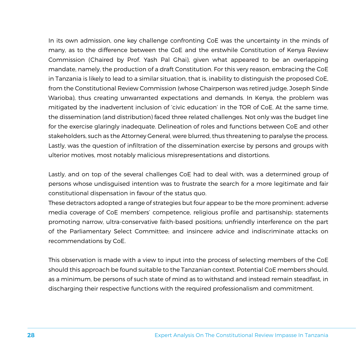In its own admission, one key challenge confronting CoE was the uncertainty in the minds of many, as to the difference between the CoE and the erstwhile Constitution of Kenya Review Commission (Chaired by Prof. Yash Pal Ghai), given what appeared to be an overlapping mandate, namely, the production of a draft Constitution. For this very reason, embracing the CoE in Tanzania is likely to lead to a similar situation, that is, inability to distinguish the proposed CoE, from the Constitutional Review Commission (whose Chairperson was retired judge, Joseph Sinde Warioba), thus creating unwarranted expectations and demands. In Kenya, the problem was mitigated by the inadvertent inclusion of 'civic education' in the TOR of CoE. At the same time, the dissemination (and distribution) faced three related challenges. Not only was the budget line for the exercise glaringly inadequate. Delineation of roles and functions between CoE and other stakeholders, such as the Attorney General, were blurred, thus threatening to paralyse the process. Lastly, was the question of infiltration of the dissemination exercise by persons and groups with ulterior motives, most notably malicious misrepresentations and distortions.

Lastly, and on top of the several challenges CoE had to deal with, was a determined group of persons whose undisguised intention was to frustrate the search for a more legitimate and fair constitutional dispensation in favour of the status quo.

These detractors adopted a range of strategies but four appear to be the more prominent: adverse media coverage of CoE members' competence, religious profile and partisanship; statements promoting narrow, ultra-conservative faith-based positions; unfriendly interference on the part of the Parliamentary Select Committee; and insincere advice and indiscriminate attacks on recommendations by CoE.

This observation is made with a view to input into the process of selecting members of the CoE should this approach be found suitable to the Tanzanian context. Potential CoE members should, as a minimum, be persons of such state of mind as to withstand and instead remain steadfast, in discharging their respective functions with the required professionalism and commitment.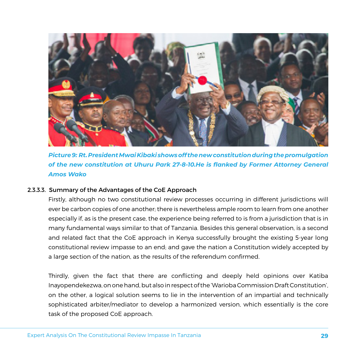

*Picture 9: Rt. President Mwai Kibaki shows off the new constitution during the promulgation of the new constitution at Uhuru Park 27-8-10.He is flanked by Former Attorney General Amos Wako*

#### 2.3.3.3. Summary of the Advantages of the CoE Approach

Firstly, although no two constitutional review processes occurring in different jurisdictions will ever be carbon copies of one another; there is nevertheless ample room to learn from one another especially if, as is the present case, the experience being referred to is from a jurisdiction that is in many fundamental ways similar to that of Tanzania. Besides this general observation, is a second and related fact that the CoE approach in Kenya successfully brought the existing 5-year long constitutional review impasse to an end; and gave the nation a Constitution widely accepted by a large section of the nation, as the results of the referendum confirmed.

Thirdly, given the fact that there are conflicting and deeply held opinions over Katiba Inayopendekezwa, on one hand, but also in respect of the 'Warioba Commission Draft Constitution', on the other, a logical solution seems to lie in the intervention of an impartial and technically sophisticated arbiter/mediator to develop a harmonized version, which essentially is the core task of the proposed CoE approach.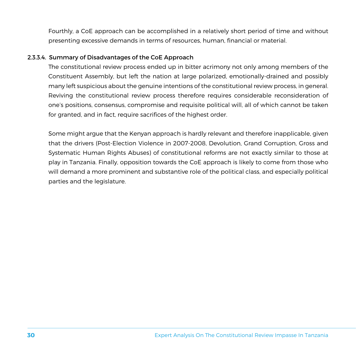Fourthly, a CoE approach can be accomplished in a relatively short period of time and without presenting excessive demands in terms of resources, human, financial or material.

#### 2.3.3.4. Summary of Disadvantages of the CoE Approach

The constitutional review process ended up in bitter acrimony not only among members of the Constituent Assembly, but left the nation at large polarized, emotionally-drained and possibly many left suspicious about the genuine intentions of the constitutional review process, in general. Reviving the constitutional review process therefore requires considerable reconsideration of one's positions, consensus, compromise and requisite political will, all of which cannot be taken for granted, and in fact, require sacrifices of the highest order.

Some might argue that the Kenyan approach is hardly relevant and therefore inapplicable, given that the drivers (Post-Election Violence in 2007-2008, Devolution, Grand Corruption, Gross and Systematic Human Rights Abuses) of constitutional reforms are not exactly similar to those at play in Tanzania. Finally, opposition towards the CoE approach is likely to come from those who will demand a more prominent and substantive role of the political class, and especially political parties and the legislature.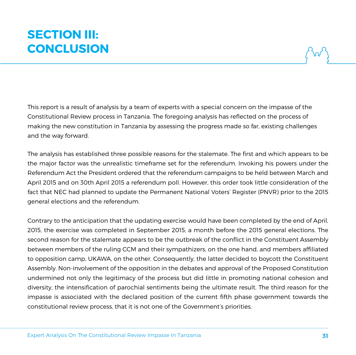# **SECTION III: CONCLUSION**

This report is a result of analysis by a team of experts with a special concern on the impasse of the Constitutional Review process in Tanzania. The foregoing analysis has reflected on the process of making the new constitution in Tanzania by assessing the progress made so far, existing challenges and the way forward.

The analysis has established three possible reasons for the stalemate. The first and which appears to be the major factor was the unrealistic timeframe set for the referendum. Invoking his powers under the Referendum Act the President ordered that the referendum campaigns to be held between March and April 2015 and on 30th April 2015 a referendum poll. However, this order took little consideration of the fact that NEC had planned to update the Permanent National Voters' Register (PNVR) prior to the 2015 general elections and the referendum.

Contrary to the anticipation that the updating exercise would have been completed by the end of April, 2015, the exercise was completed in September 2015, a month before the 2015 general elections. The second reason for the stalemate appears to be the outbreak of the conflict in the Constituent Assembly between members of the ruling CCM and their sympathizers, on the one hand, and members affiliated to opposition camp, UKAWA, on the other. Consequently, the latter decided to boycott the Constituent Assembly. Non-involvement of the opposition in the debates and approval of the Proposed Constitution undermined not only the legitimacy of the process but did little in promoting national cohesion and diversity, the intensification of parochial sentiments being the ultimate result. The third reason for the impasse is associated with the declared position of the current fifth phase government towards the constitutional review process, that it is not one of the Government's priorities.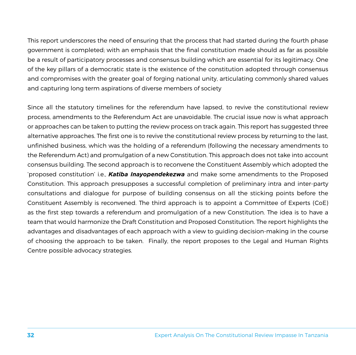This report underscores the need of ensuring that the process that had started during the fourth phase government is completed; with an emphasis that the final constitution made should as far as possible be a result of participatory processes and consensus building which are essential for its legitimacy. One of the key pillars of a democratic state is the existence of the constitution adopted through consensus and compromises with the greater goal of forging national unity, articulating commonly shared values and capturing long term aspirations of diverse members of society

Since all the statutory timelines for the referendum have lapsed, to revive the constitutional review process, amendments to the Referendum Act are unavoidable. The crucial issue now is what approach or approaches can be taken to putting the review process on track again. This report has suggested three alternative approaches. The first one is to revive the constitutional review process by returning to the last, unfinished business, which was the holding of a referendum (following the necessary amendments to the Referendum Act) and promulgation of a new Constitution. This approach does not take into account consensus building. The second approach is to reconvene the Constituent Assembly which adopted the 'proposed constitution' i.e., *Katiba Inayopendekezwa* and make some amendments to the Proposed Constitution. This approach presupposes a successful completion of preliminary intra and inter-party consultations and dialogue for purpose of building consensus on all the sticking points before the Constituent Assembly is reconvened. The third approach is to appoint a Committee of Experts (CoE) as the first step towards a referendum and promulgation of a new Constitution. The idea is to have a team that would harmonize the Draft Constitution and Proposed Constitution. The report highlights the advantages and disadvantages of each approach with a view to guiding decision-making in the course of choosing the approach to be taken. Finally, the report proposes to the Legal and Human Rights Centre possible advocacy strategies.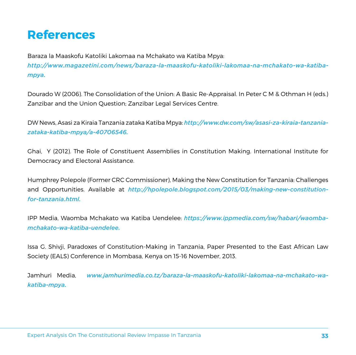## **References**

Baraza la Maaskofu Katoliki Lakomaa na Mchakato wa Katiba Mpya: *http://www.magazetini.com/news/baraza-la-maaskofu-katoliki-lakomaa-na-mchakato-wa-katibampya.* 

Dourado W (2006). The Consolidation of the Union: A Basic Re-Appraisal. In Peter C M & Othman H (eds.) Zanzibar and the Union Question; Zanzibar Legal Services Centre.

DW News, Asasi za Kiraia Tanzania zataka Katiba Mpya: *http://www.dw.com/sw/asasi-za-kiraia-tanzaniazataka-katiba-mpya/a-40706546.* 

Ghai, Y (2012). The Role of Constituent Assemblies in Constitution Making. International Institute for Democracy and Electoral Assistance.

Humphrey Polepole (Former CRC Commissioner), Making the New Constitution for Tanzania: Challenges and Opportunities. Available at *http://hpolepole.blogspot.com/2015/03/making-new-constitutionfor-tanzania.html.*

IPP Media, Waomba Mchakato wa Katiba Uendelee: *https://www.ippmedia.com/sw/habari/waombamchakato-wa-katiba-uendelee.* 

Issa G. Shivji, Paradoxes of Constitution-Making in Tanzania, Paper Presented to the East African Law Society (EALS) Conference in Mombasa, Kenya on 15-16 November, 2013.

Jamhuri Media, *www.jamhurimedia.co.tz/baraza-la-maaskofu-katoliki-lakomaa-na-mchakato-wakatiba-mpya.*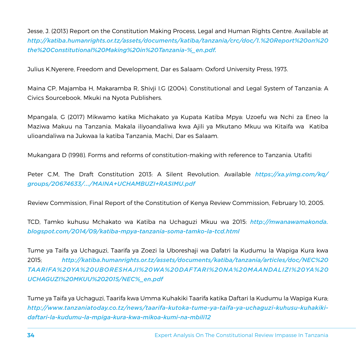Jesse, J. (2013) Report on the Constitution Making Process, Legal and Human Rights Centre. Available at *http://katiba.humanrights.or.tz/assets/documents/katiba/tanzania/crc/doc/1.%20Report%20on%20 the%20Constitutional%20Making%20in%20Tanzania-%\_en.pdf.*

Julius K.Nyerere, Freedom and Development, Dar es Salaam: Oxford University Press, 1973.

Maina CP, Majamba H, Makaramba R, Shivji I.G (2004). Constitutional and Legal System of Tanzania: A Civics Sourcebook. Mkuki na Nyota Publishers.

Mpangala, G (2017) Mikwamo katika Michakato ya Kupata Katiba Mpya: Uzoefu wa Nchi za Eneo la Maziwa Makuu na Tanzania. Makala iliyoandaliwa kwa Ajili ya Mkutano Mkuu wa Kitaifa wa Katiba ulioandaliwa na Jukwaa la katiba Tanzania, Machi, Dar es Salaam.

Mukangara D (1998). Forms and reforms of constitution-making with reference to Tanzania. Utafiti

Peter C.M, The Draft Constitution 2013: A Silent Revolution. Available *https://xa.yimg.com/kq/ groups/20674633/.../MAINA+UCHAMBUZI+RASIMU.pdf*

Review Commission, Final Report of the Constitution of Kenya Review Commission, February 10, 2005.

TCD, Tamko kuhusu Mchakato wa Katiba na Uchaguzi Mkuu wa 2015: *http://mwanawamakonda. blogspot.com/2014/09/katiba-mpya-tanzania-soma-tamko-la-tcd.html*

Tume ya Taifa ya Uchaguzi, Taarifa ya Zoezi la Uboreshaji wa Dafatri la Kudumu la Wapiga Kura kwa 2015; *http://katiba.humanrights.or.tz/assets/documents/katiba/tanzania/articles/doc/NEC%20 TAARIFA%20YA%20UBORESHAJI%20WA%20DAFTARI%20NA%20MAANDALIZI%20YA%20 UCHAGUZI%20MKUU%202015/NEC%\_en.pdf*

Tume ya Taifa ya Uchaguzi, Taarifa kwa Umma Kuhakiki Taarifa katika Daftari la Kudumu la Wapiga Kura; *http://www.tanzaniatoday.co.tz/news/taarifa-kutoka-tume-ya-taifa-ya-uchaguzi-kuhusu-kuhakikidaftari-la-kudumu-la-mpiga-kura-kwa-mikoa-kumi-na-mbili12*